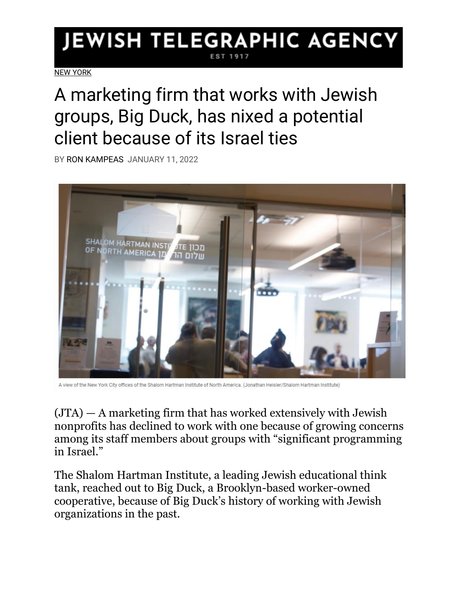## JEWISH TELEGRAPHIC AGENCY

[NEW YORK](https://www.jta.org/category/ny)

## A marketing firm that works with Jewish groups, Big Duck, has nixed a potential client because of its Israel ties

BY [RON KAMPEAS](https://www.jta.org/author/ron-kampeas) JANUARY 11, 2022



A view of the New York City offices of the Shalom Hartman Institute of North America. (Jonathan Heisler/Shalom Hartman Institute)

 $(JTA)$  — A marketing firm that has worked extensively with Jewish nonprofits has declined to work with one because of growing concerns among its staff members about groups with "significant programming in Israel."

The Shalom Hartman Institute, a leading Jewish educational think tank, reached out to Big Duck, a Brooklyn-based worker-owned cooperative, because of Big Duck's history of working with Jewish organizations in the past.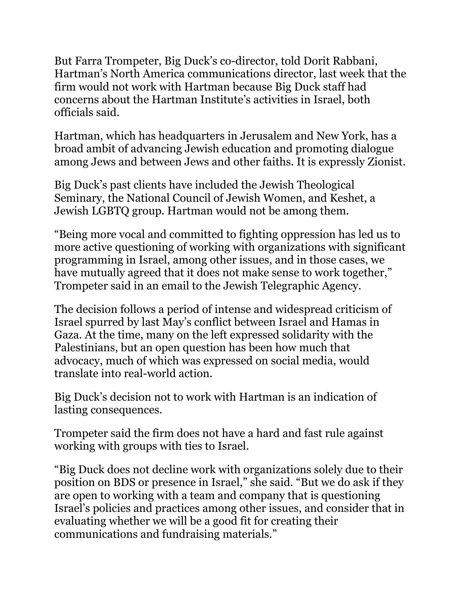But Farra Trompeter, Big Duck's co-director, told Dorit Rabbani, Hartman's North America communications director, last week that the firm would not work with Hartman because Big Duck staff had concerns about the Hartman Institute's activities in Israel, both officials said.

Hartman, which has headquarters in Jerusalem and New York, has a broad ambit of advancing Jewish education and promoting dialogue among Jews and between Jews and other faiths. It is expressly Zionist.

Big Duck's past clients have included the Jewish Theological Seminary, the National Council of Jewish Women, and Keshet, a Jewish LGBTQ group. Hartman would not be among them.

"Being more vocal and committed to fighting oppression has led us to more active questioning of working with organizations with significant programming in Israel, among other issues, and in those cases, we have mutually agreed that it does not make sense to work together," Trompeter said in an email to the Jewish Telegraphic Agency.

The decision follows a period of intense and widespread criticism of Israel spurred by last May's conflict between Israel and Hamas in Gaza. At the time, many on the left expressed solidarity with the Palestinians, but an open question has been how much that advocacy, [much of which was expressed on social media,](https://www.jta.org/2021/05/21/culture/not-good-for-my-mental-health-jewish-instagrammers-struggle-amid-israel-gaza-conflict-and-antisemitic-violence) would translate into real-world action.

Big Duck's decision not to work with Hartman is an indication of lasting consequences.

Trompeter said the firm does not have a hard and fast rule against working with groups with ties to Israel.

"Big Duck does not decline work with organizations solely due to their position on BDS or presence in Israel," she said. "But we do ask if they are open to working with a team and company that is questioning Israel's policies and practices among other issues, and consider that in evaluating whether we will be a good fit for creating their communications and fundraising materials."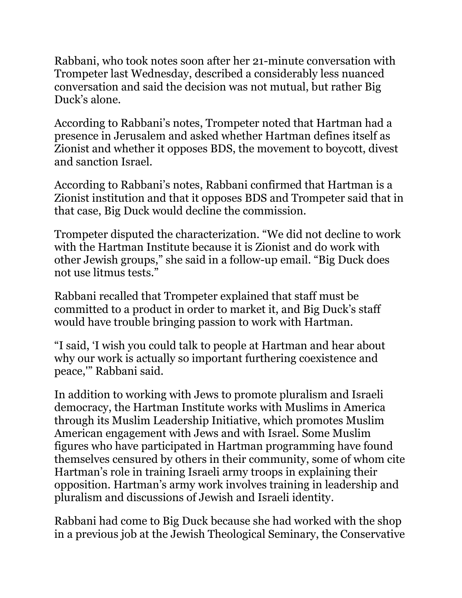Rabbani, who took notes soon after her 21-minute conversation with Trompeter last Wednesday, described a considerably less nuanced conversation and said the decision was not mutual, but rather Big Duck's alone.

According to Rabbani's notes, Trompeter noted that Hartman had a presence in Jerusalem and asked whether Hartman defines itself as Zionist and whether it opposes BDS, the movement to boycott, divest and sanction Israel.

According to Rabbani's notes, Rabbani confirmed that Hartman is a Zionist institution and that it opposes BDS and Trompeter said that in that case, Big Duck would decline the commission.

Trompeter disputed the characterization. "We did not decline to work with the Hartman Institute because it is Zionist and do work with other Jewish groups," she said in a follow-up email. "Big Duck does not use litmus tests."

Rabbani recalled that Trompeter explained that staff must be committed to a product in order to market it, and Big Duck's staff would have trouble bringing passion to work with Hartman.

"I said, 'I wish you could talk to people at Hartman and hear about why our work is actually so important furthering coexistence and peace,'" Rabbani said.

In addition to working with Jews to promote pluralism and Israeli democracy, the Hartman Institute works with Muslims in America through its Muslim Leadership Initiative, which promotes Muslim American engagement with Jews and with Israel. Some Muslim figures who have participated in Hartman programming have found themselves censured by others in their community, some of whom cite Hartman's role in training Israeli army troops in explaining their opposition. Hartman's army work [involves training in leadership and](https://www.hartman.org.il/25th-group-of-idf-majors-descends-on-hartman-institute/)  [pluralism and discussions of Jewish and Israeli identity.](https://www.hartman.org.il/25th-group-of-idf-majors-descends-on-hartman-institute/)

Rabbani had come to Big Duck because she had worked with the shop in a previous job at the Jewish Theological Seminary, the Conservative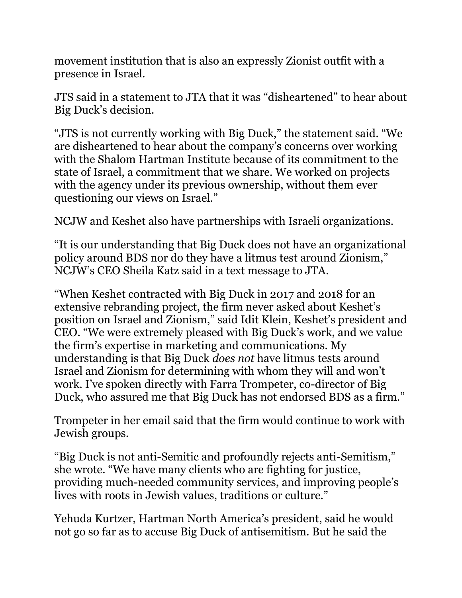movement institution that is also an expressly Zionist outfit with a presence in Israel.

JTS said in a statement to JTA that it was "disheartened" to hear about Big Duck's decision.

"JTS is not currently working with Big Duck," the statement said. "We are disheartened to hear about the company's concerns over working with the Shalom Hartman Institute because of its commitment to the state of Israel, a commitment that we share. We worked on projects with the agency under its previous ownership, without them ever questioning our views on Israel."

NCJW and Keshet also have partnerships with Israeli organizations.

"It is our understanding that Big Duck does not have an organizational policy around BDS nor do they have a litmus test around Zionism," NCJW's CEO Sheila Katz said in a text message to JTA.

"When Keshet contracted with Big Duck in 2017 and 2018 for an extensive rebranding project, the firm never asked about Keshet's position on Israel and Zionism," said Idit Klein, Keshet's president and CEO. "We were extremely pleased with Big Duck's work, and we value the firm's expertise in marketing and communications. My understanding is that Big Duck *does not* have litmus tests around Israel and Zionism for determining with whom they will and won't work. I've spoken directly with Farra Trompeter, co-director of Big Duck, who assured me that Big Duck has not endorsed BDS as a firm."

Trompeter in her email said that the firm would continue to work with Jewish groups.

"Big Duck is not anti-Semitic and profoundly rejects anti-Semitism," she wrote. "We have many clients who are fighting for justice, providing much-needed community services, and improving people's lives with roots in Jewish values, traditions or culture."

Yehuda Kurtzer, Hartman North America's president, said he would not go so far as to accuse Big Duck of antisemitism. But he said the